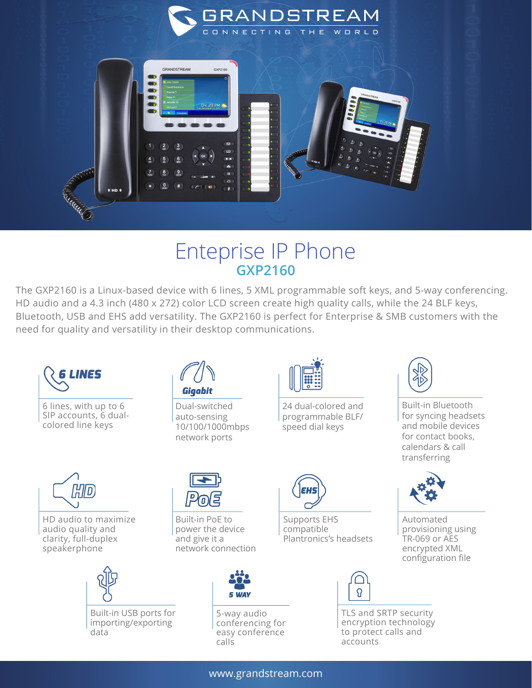

## Enteprise IP Phone **GXP2160**

The GXP2160 is a Linux-based device with 6 lines, 5 XML programmable soft keys, and 5-way conferencing. HD audio and a 4.3 inch (480 x 272) color LCD screen create high quality calls, while the 24 BLF keys, Bluetooth, USB and EHS add versatility. The GXP2160 is perfect for Enterprise & SMB customers with the need for quality and versatility in their desktop communications.



6 lines, with up to 6 SIP accounts, 6 dualcolored line keys



HD audio to maximize audio quality and clarity, full-duplex speakerphone



Built-in USB ports for importing/exporting data



Dual-switched auto-sensing 10/100/1000mbps network ports

Built-in PoE to power the device and give it a

network connection



24 dual-colored and programmable BLF/ speed dial keys

Supports EHS compatible

Plantronics's headsets



Built-in Bluetooth for syncing headsets and mobile devices for contact books, calendars & call transferring



Automated provisioning using TR-069 or AES encrypted XML configuration file



5-way audio conferencing for easy conference calls



TLS and SRTP security encryption technology to protect calls and accounts

www.grandstream.com